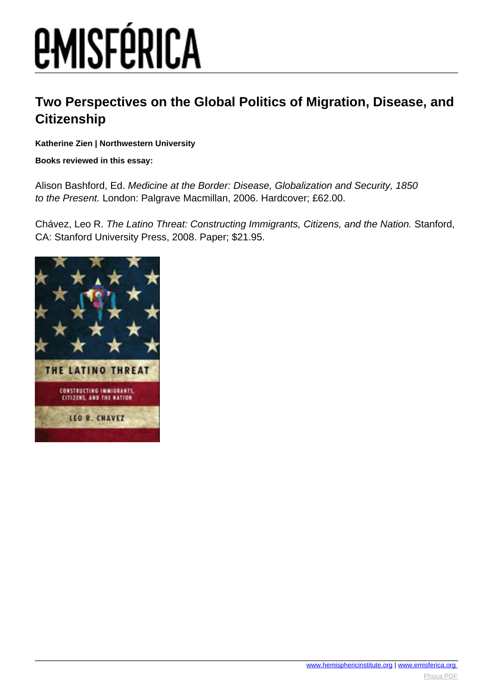## *EMISFÉRICA*

### **Two Perspectives on the Global Politics of Migration, Disease, and Citizenship**

**Katherine Zien | Northwestern University**

#### **Books reviewed in this essay:**

Alison Bashford, Ed. Medicine at the Border: Disease, Globalization and Security, 1850 to the Present. London: Palgrave Macmillan, 2006. Hardcover; £62.00.

Chávez, Leo R. The Latino Threat: Constructing Immigrants, Citizens, and the Nation. Stanford, CA: Stanford University Press, 2008. Paper; \$21.95.

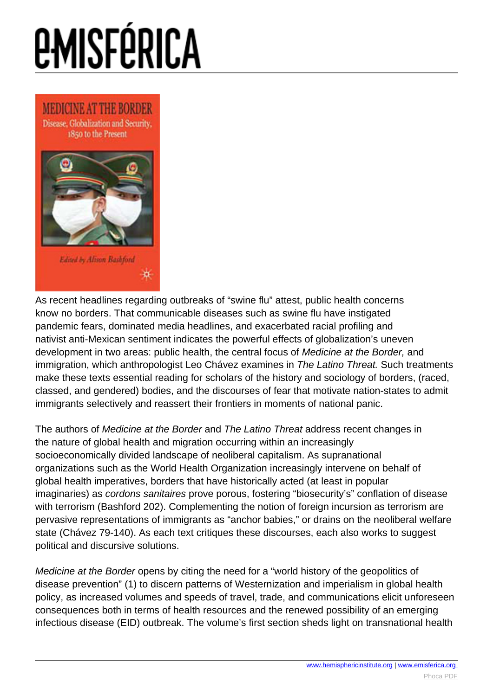# **EMISFÉRICA**



As recent headlines regarding outbreaks of "swine flu" attest, public health concerns know no borders. That communicable diseases such as swine flu have instigated pandemic fears, dominated media headlines, and exacerbated racial profiling and nativist anti-Mexican sentiment indicates the powerful effects of globalization's uneven development in two areas: public health, the central focus of Medicine at the Border, and immigration, which anthropologist Leo Chávez examines in The Latino Threat. Such treatments make these texts essential reading for scholars of the history and sociology of borders, (raced, classed, and gendered) bodies, and the discourses of fear that motivate nation-states to admit immigrants selectively and reassert their frontiers in moments of national panic.

The authors of Medicine at the Border and The Latino Threat address recent changes in the nature of global health and migration occurring within an increasingly socioeconomically divided landscape of neoliberal capitalism. As supranational organizations such as the World Health Organization increasingly intervene on behalf of global health imperatives, borders that have historically acted (at least in popular imaginaries) as cordons sanitaires prove porous, fostering "biosecurity's" conflation of disease with terrorism (Bashford 202). Complementing the notion of foreign incursion as terrorism are pervasive representations of immigrants as "anchor babies," or drains on the neoliberal welfare state (Chávez 79-140). As each text critiques these discourses, each also works to suggest political and discursive solutions.

Medicine at the Border opens by citing the need for a "world history of the geopolitics of disease prevention" (1) to discern patterns of Westernization and imperialism in global health policy, as increased volumes and speeds of travel, trade, and communications elicit unforeseen consequences both in terms of health resources and the renewed possibility of an emerging infectious disease (EID) outbreak. The volume's first section sheds light on transnational health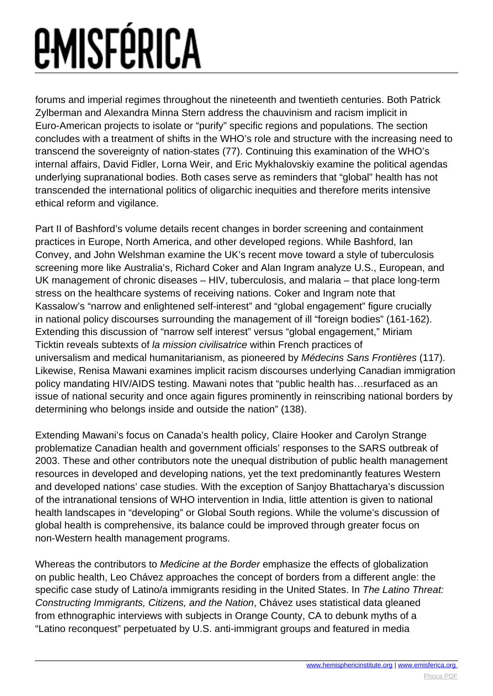## *<u>EMISFÉRICA</u>*

forums and imperial regimes throughout the nineteenth and twentieth centuries. Both Patrick Zylberman and Alexandra Minna Stern address the chauvinism and racism implicit in Euro-American projects to isolate or "purify" specific regions and populations. The section concludes with a treatment of shifts in the WHO's role and structure with the increasing need to transcend the sovereignty of nation-states (77). Continuing this examination of the WHO's internal affairs, David Fidler, Lorna Weir, and Eric Mykhalovskiy examine the political agendas underlying supranational bodies. Both cases serve as reminders that "global" health has not transcended the international politics of oligarchic inequities and therefore merits intensive ethical reform and vigilance.

Part II of Bashford's volume details recent changes in border screening and containment practices in Europe, North America, and other developed regions. While Bashford, Ian Convey, and John Welshman examine the UK's recent move toward a style of tuberculosis screening more like Australia's, Richard Coker and Alan Ingram analyze U.S., European, and UK management of chronic diseases – HIV, tuberculosis, and malaria – that place long-term stress on the healthcare systems of receiving nations. Coker and Ingram note that Kassalow's "narrow and enlightened self-interest" and "global engagement" figure crucially in national policy discourses surrounding the management of ill "foreign bodies" (161-162). Extending this discussion of "narrow self interest" versus "global engagement," Miriam Ticktin reveals subtexts of la mission civilisatrice within French practices of universalism and medical humanitarianism, as pioneered by Médecins Sans Frontières (117). Likewise, Renisa Mawani examines implicit racism discourses underlying Canadian immigration policy mandating HIV/AIDS testing. Mawani notes that "public health has…resurfaced as an issue of national security and once again figures prominently in reinscribing national borders by determining who belongs inside and outside the nation" (138).

Extending Mawani's focus on Canada's health policy, Claire Hooker and Carolyn Strange problematize Canadian health and government officials' responses to the SARS outbreak of 2003. These and other contributors note the unequal distribution of public health management resources in developed and developing nations, yet the text predominantly features Western and developed nations' case studies. With the exception of Sanjoy Bhattacharya's discussion of the intranational tensions of WHO intervention in India, little attention is given to national health landscapes in "developing" or Global South regions. While the volume's discussion of global health is comprehensive, its balance could be improved through greater focus on non-Western health management programs.

Whereas the contributors to Medicine at the Border emphasize the effects of globalization on public health, Leo Chávez approaches the concept of borders from a different angle: the specific case study of Latino/a immigrants residing in the United States. In The Latino Threat: Constructing Immigrants, Citizens, and the Nation, Chávez uses statistical data gleaned from ethnographic interviews with subjects in Orange County, CA to debunk myths of a "Latino reconquest" perpetuated by U.S. anti-immigrant groups and featured in media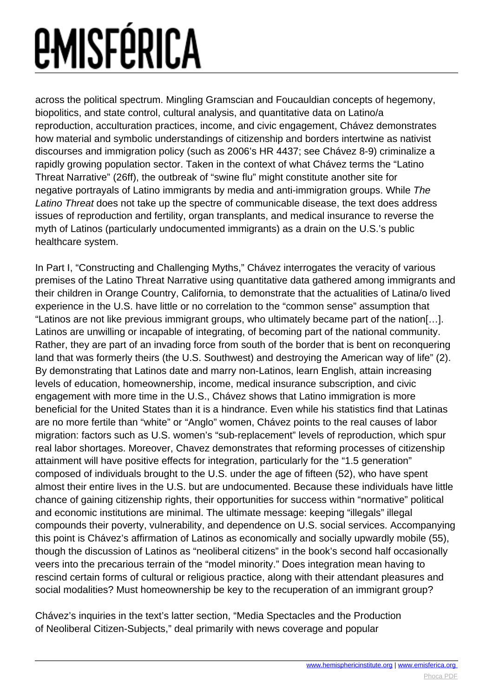## *<u>EMISFÉRICA</u>*

across the political spectrum. Mingling Gramscian and Foucauldian concepts of hegemony, biopolitics, and state control, cultural analysis, and quantitative data on Latino/a reproduction, acculturation practices, income, and civic engagement, Chávez demonstrates how material and symbolic understandings of citizenship and borders intertwine as nativist discourses and immigration policy (such as 2006's HR 4437; see Chávez 8-9) criminalize a rapidly growing population sector. Taken in the context of what Chávez terms the "Latino Threat Narrative" (26ff), the outbreak of "swine flu" might constitute another site for negative portrayals of Latino immigrants by media and anti-immigration groups. While The Latino Threat does not take up the spectre of communicable disease, the text does address issues of reproduction and fertility, organ transplants, and medical insurance to reverse the myth of Latinos (particularly undocumented immigrants) as a drain on the U.S.'s public healthcare system.

In Part I, "Constructing and Challenging Myths," Chávez interrogates the veracity of various premises of the Latino Threat Narrative using quantitative data gathered among immigrants and their children in Orange Country, California, to demonstrate that the actualities of Latina/o lived experience in the U.S. have little or no correlation to the "common sense" assumption that "Latinos are not like previous immigrant groups, who ultimately became part of the nation[…]. Latinos are unwilling or incapable of integrating, of becoming part of the national community. Rather, they are part of an invading force from south of the border that is bent on reconquering land that was formerly theirs (the U.S. Southwest) and destroying the American way of life" (2). By demonstrating that Latinos date and marry non-Latinos, learn English, attain increasing levels of education, homeownership, income, medical insurance subscription, and civic engagement with more time in the U.S., Chávez shows that Latino immigration is more beneficial for the United States than it is a hindrance. Even while his statistics find that Latinas are no more fertile than "white" or "Anglo" women, Chávez points to the real causes of labor migration: factors such as U.S. women's "sub-replacement" levels of reproduction, which spur real labor shortages. Moreover, Chavez demonstrates that reforming processes of citizenship attainment will have positive effects for integration, particularly for the "1.5 generation" composed of individuals brought to the U.S. under the age of fifteen (52), who have spent almost their entire lives in the U.S. but are undocumented. Because these individuals have little chance of gaining citizenship rights, their opportunities for success within "normative" political and economic institutions are minimal. The ultimate message: keeping "illegals" illegal compounds their poverty, vulnerability, and dependence on U.S. social services. Accompanying this point is Chávez's affirmation of Latinos as economically and socially upwardly mobile (55), though the discussion of Latinos as "neoliberal citizens" in the book's second half occasionally veers into the precarious terrain of the "model minority." Does integration mean having to rescind certain forms of cultural or religious practice, along with their attendant pleasures and social modalities? Must homeownership be key to the recuperation of an immigrant group?

Chávez's inquiries in the text's latter section, "Media Spectacles and the Production of Neoliberal Citizen-Subjects," deal primarily with news coverage and popular